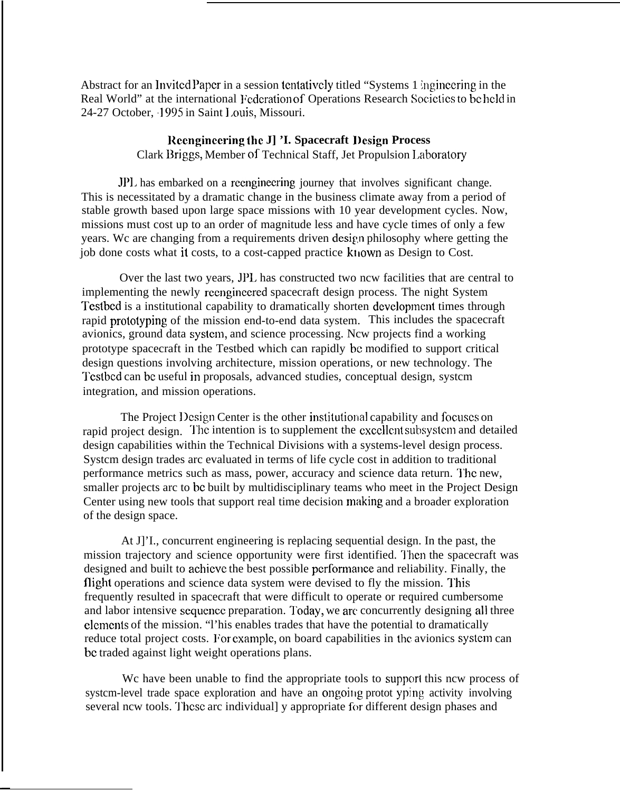Abstract for an Invited Paper in a session tentatively titled "Systems 1 ingineering in the Real World" at the international Federation of Operations Research Societies to be held in 24-27 October, 1995 in Saint 1.ouis, Missouri.

## **Rccnginccx-ing the J] 'I. Spacecraft l)csign Process** Clark Briggs, Member of Technical Staff, Jet Propulsion Laboratory

JPI. has embarked on a reenginecring journey that involves significant change. This is necessitated by a dramatic change in the business climate away from a period of stable growth based upon large space missions with 10 year development cycles. Now, missions must cost up to an order of magnitude less and have cycle times of only a few years. We are changing from a requirements driven design philosophy where getting the job done costs what it costs, to a cost-capped practice kt iown as Design to Cost.

Over the last two years, JPL has constructed two ncw facilities that are central to implementing the newly rccnginccred spacecraft design process. The night System Testbed is a institutional capability to dramatically shorten development times through rapid prototyping of the mission end-to-end data system. This includes the spacecraft avionics, ground data systcm, and science processing. Ncw projects find a working prototype spacecraft in the Testbed which can rapidly bc modified to support critical design questions involving architecture, mission operations, or new technology. The Tcstbcd can bc useful in proposals, advanced studies, conceptual design, systcm integration, and mission operations.

The Project Design Center is the other institutional capability and focuses on rapid project design. The intention is to supplement the excellent subsystem and detailed design capabilities within the Technical Divisions with a systems-level design process. Systcm design trades arc evaluated in terms of life cycle cost in addition to traditional performance metrics such as mass, power, accuracy and science data return. l'hc new, smaller projects arc to bc built by multidisciplinary teams who meet in the Project Design Center using new tools that support real time decision making and a broader exploration of the design space.

At J]'I., concurrent engineering is replacing sequential design. In the past, the mission trajectory and science opportunity were first identified. Then the spacecraft was designed and built to achieve the best possible performance and reliability. Finally, the flight operations and science data system were devised to fly the mission. This frequently resulted in spacecraft that were difficult to operate or required cumbersome and labor intensive sequence preparation. Today, we arc concurrently designing all three clcmcnts of the mission. "l'his enables trades that have the potential to dramatically reduce total project costs. For example, on board capabilities in the avionics system can bc traded against light weight operations plans.

We have been unable to find the appropriate tools to support this new process of system-level trade space exploration and have an ongoing protot yping activity involving several ncw tools. These arc individuall y appropriate for different design phases and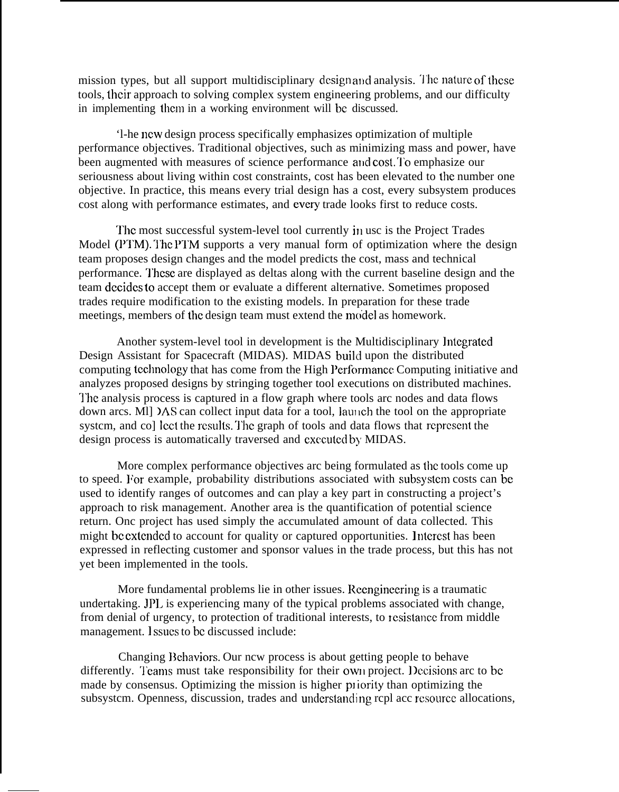mission types, but all support multidisciplinary design and analysis. The nature of these tools, their approach to solving complex system engineering problems, and our difficulty in implementing thcm in a working environment will bc discussed.

'l-he ncw design process specifically emphasizes optimization of multiple performance objectives. Traditional objectives, such as minimizing mass and power, have been augmented with measures of science performance and cost. To emphasize our seriousness about living within cost constraints, cost has been elevated to the number one objective. In practice, this means every trial design has a cost, every subsystem produces cost along with performance estimates, and every trade looks first to reduce costs.

The most successful system-level tool currently in usc is the Project Trades Model (PTM). The PTM supports a very manual form of optimization where the design team proposes design changes and the model predicts the cost, mass and technical performance. l'hese are displayed as deltas along with the current baseline design and the team dccidcs to accept them or evaluate a different alternative. Sometimes proposed trades require modification to the existing models. In preparation for these trade meetings, members of the design team must extend the model as homework.

Another system-level tool in development is the Multidisciplinary lntcgratcd Design Assistant for Spacecraft (MIDAS). MIDAS build upon the distributed computing tcchno]ogy that has come from the High Performance Computing initiative and analyzes proposed designs by stringing together tool executions on distributed machines. l'hc analysis process is captured in a flow graph where tools arc nodes and data flows down arcs. Ml]  $\lambda$ S can collect input data for a tool, launch the tool on the appropriate system, and co] lect the results. The graph of tools and data flows that represent the design process is automatically traversed and executed by MIDAS.

More complex performance objectives arc being formulated as the tools come up to speed. For example, probability distributions associated with subsystem costs can be used to identify ranges of outcomes and can play a key part in constructing a project's approach to risk management. Another area is the quantification of potential science return. Onc project has used simply the accumulated amount of data collected. This might bc cxtcndcd to account for quality or captured opportunities. 1 ntercst has been expressed in reflecting customer and sponsor values in the trade process, but this has not yet been implemented in the tools.

More fundamental problems lie in other issues. Rcengineering is a traumatic undertaking. JPI. is experiencing many of the typical problems associated with change, from denial of urgency, to protection of traditional interests, to resistance from middle management. Issues to be discussed include:

Changing Behaviors. Our ncw process is about getting people to behave differently. Teams must take responsibility for their own project. Decisions arc to be made by consensus. Optimizing the mission is higher priority than optimizing the subsystem. Openness, discussion, trades and understanding repl acc resource allocations,